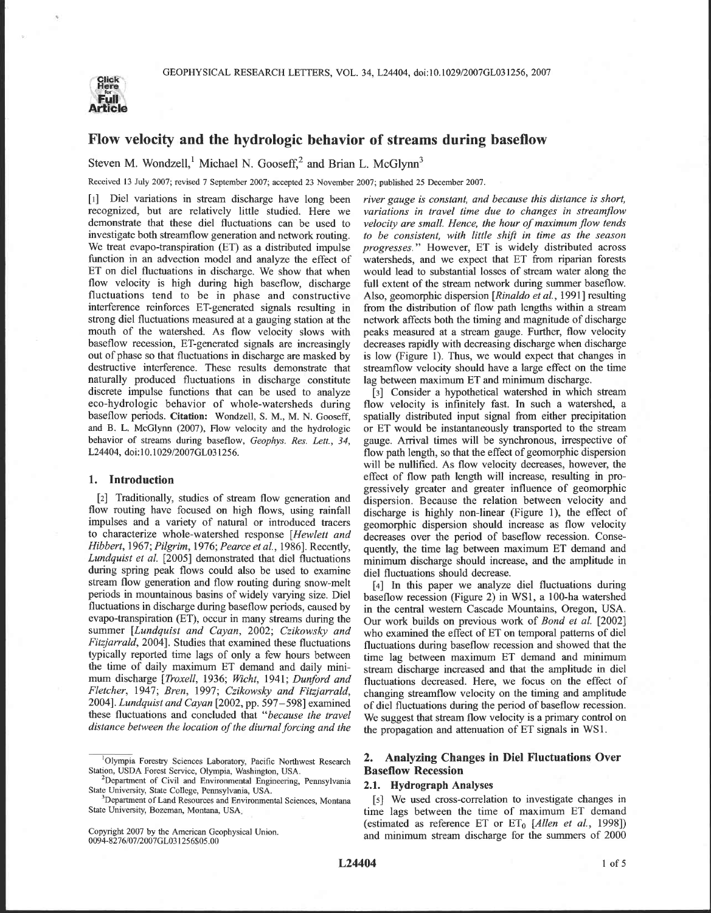

## **Flow velocity and the hydrologic behavior of streams during baseflow**

Steven M. Wondzell,<sup>1</sup> Michael N. Gooseff,<sup>2</sup> and Brian L. McGlynn<sup>3</sup>

Received 13 July 2007; revised 7 September 2007; accepted 23 November 2007; published 25 December 2007.

recognized, but are relatively little studied. Here we *variations in travel time due to changes in streamjlow*  demonstrate that these diel fluctuations can be used to *velocity are small. Hence, the hour of maximum flow tends* investigate both streamflow generation and network routing. *to be consistent, with little shift in time a* investigate both streamflow generation and network routing. *to be consistent, with little shift in time as the season*  We treat evapo-transpiration (ET) as a distributed impulse *progresses.*" However, ET is widely distributed across function in an advection model and analyze the effect of watersheds, and we expect that ET from riparian fo function in an advection model and analyze the effect of watersheds, and we expect that ET from riparian forests ET on diel fluctuations in discharge. We show that when would lead to substantial losses of stream water alon ET on diel fluctuations in discharge. We show that when would lead to substantial losses of stream water along the flow velocity is high during high baseflow, discharge full extent of the stream network during summer basef flow velocity is high during high baseflow, discharge full extent of the stream network during summer baseflow.<br>fluctuations tend to be in phase and constructive Also, geomorphic dispersion [*Rinaldo et al.*, 1991] resulti fluctuations tend to be in phase and constructive Also, geomorphic dispersion *[Rinaldo et al., 1991]* resulting interference reinforces ET-generated signals resulting in from the distribution of flow path lengths within a interference reinforces ET-generated signals resulting in from the distribution of flow path lengths within a stream<br>strong diel fluctuations measured at a gauging station at the network affects both the timing and magnitu strong diel fluctuations measured at a gauging station at the network affects both the timing and magnitude of discharge mouth of the watershed. As flow velocity slows with peaks measured at a stream gauge. Further, flow v mouth of the watershed. As flow velocity slows with peaks measured at a stream gauge. Further, flow velocity baseflow recession, ET-generated signals are increasingly decreases rapidly with decreasing discharge when discha baseflow recession, ET-generated signals are increasingly decreases rapidly with decreasing discharge when discharge out of phase so that fluctuations in discharge are masked by is low (Figure 1). Thus, we would expect tha destructive interference. These results demonstrate that streamflow velocity should have a large effect on the time naturally produced fluctuations in discharge constitute lag between maximum ETand minimum discharge. discrete impulse functions that can be used to analyze [3] Consider a hypothetical watershed in which stream eco-hydrologic behavior of whole-watersheds during flow velocity is infinitely fast. In such a watershed, a baseflow periods. Citation: Wondzell, S. M., M. N. Gooseff, and B. L. McGlynn (2007), Flow velocity and the hydrologic behavior of streams during baseflow, *Geophys. Res. Lett.*, 34, gauge. Arrival times will be synchronous, irrespective of L24404, doi:10.1029/2007GL031256. flow path length, so that the effect of geomorphic dispersion

flow routing have focused on high flows, using rainfall discharge is highly non-linear (Figure 1), the effect of impulses and a variety of natural or introduced tracers secometric dispersion should increase as flow velocit impulses and a variety of natural or introduced tracers geomorphic dispersion should increase as flow velocity<br>to characterize whole-watershed response [Hewlett and decreases over the period of baseflow recession. Conseto characterize whole-watershed response *[Hewlett and* decreases over the period of baseflow recession. Conse-Hibbert, 1967; Pilgrim, 1976; Pearce et al., 1986]. Recently, quently, the time lag between maximum ET demand and *Lundquist et al.* [2005] demonstrated that diel fluctuations minimum discharge should increase, and the amp during spring peak flows could also be used to examine diel fluctuations should decrease.<br>stream flow generation and flow routing during snow-melt  $\begin{bmatrix} 4 \end{bmatrix}$  In this paper we analyze diel fluctuations during periods in mountainous basins of widely varying size. Diel baseflow recession (Figure 2) in WS1, a 100-ha watershed<br>fluctuations in discharge during baseflow periods, caused by in the central western Cascade Mountains, Ore evapo-transpiration (ET), occur in many streams during the Our work builds on previous work of *Bond et al.* [2002] summer [*Lundquist and Cayan*, 2002; *Czikowsky and* who examined the effect of ET on temporal patterns of summer *[Lundquist and Cayan, 2002; Czikowsky and* who examined the effect of ET on temporal patterns of diel *Fitzjarrald, 2004*]. Studies that examined these fluctuations fluctuations during baseflow recession and showed that the typically reported time lags of only a few hours between time lag between maximum FT demand and mini typically reported time lags of only a few hours between time lag between maximum ET demand and minimum the time of daily maximum ET demand and daily mini-<br>tream discharge increased and that the amplitude in die1<br>mum disch mum discharge *[Troxell, 1936; Wicht, 1941; Dunford and fluctuations decreased. Here, we focus on the effect of*<br>*Fletcher, 1947; Bren, 1997; Czikowsky and Fitzjarrald, changing streamflow velocity on the timing and ampl* Fletcher, 1947; Bren, 1997; Czikowsky and Fitzjarrald, changing streamflow velocity on the timing and amplitude 2004]. Lundquist and Cayan [2002, pp. 597–598] examined of diel fluctuations during the period of baseflow re

Copyright 2007 by the American Geophysical Union. 0094-8276/07/2007GL03 1256\$05.00

*[I]* Diel variations in stream discharge have long been *river gauge is constant, and because this distance is short,*  is low (Figure 1). Thus, we would expect that changes in

flow velocity is infinitely fast. In such a watershed, a spatially distributed input signal from either precipitation or ET would be instantaneously transported to the stream flow path length, so that the effect of geomorphic dispersion will be nullified. As flow velocity decreases, however, the **1. Introduction** effect of flow path length will increase, resulting in progressively greater and greater influence of geomorphic [2] Traditionally, studies of stream flow generation and dispersion. Because the relation between velocity and flow routing have focused on high flows, using rainfall discharge is highly non-linear (Figure 1), the effect o

We suggest that stream flow velocity is a primary control on *distance between the location of the diurnal forcing and the* the propagation and attenuation of ET signals in WS1.

# <sup>1</sup>Olympia Forestry Sciences Laboratory, Pacific Northwest Research **2. Analyzing Changes in Diel Fluctuations Over** *ion*, USDA Forest Service, Olympia, Washington, USA. **Baseflow Recession**

<sup>3</sup>Department of Land Resources and Environmental Sciences, Montana [5] We used cross-correlation to investigate changes in State University, Bozeman, Montana, USA. *time lass between the time of maximum ET demand* time lags between the time of maximum ET demand (estimated as reference ET or ET<sub>0</sub> [Allen et al., 1998]) and minimum stream discharge for the summers of *2000* 

Station, USDA Forest Service, Olympia, Washington, USA.

<sup>&</sup>lt;sup>2</sup>Department of Civil and Environmental Engineering, Pennsylvania State University, State College, Pennsylvania, USA. **2.1. Hydrograph Analyses**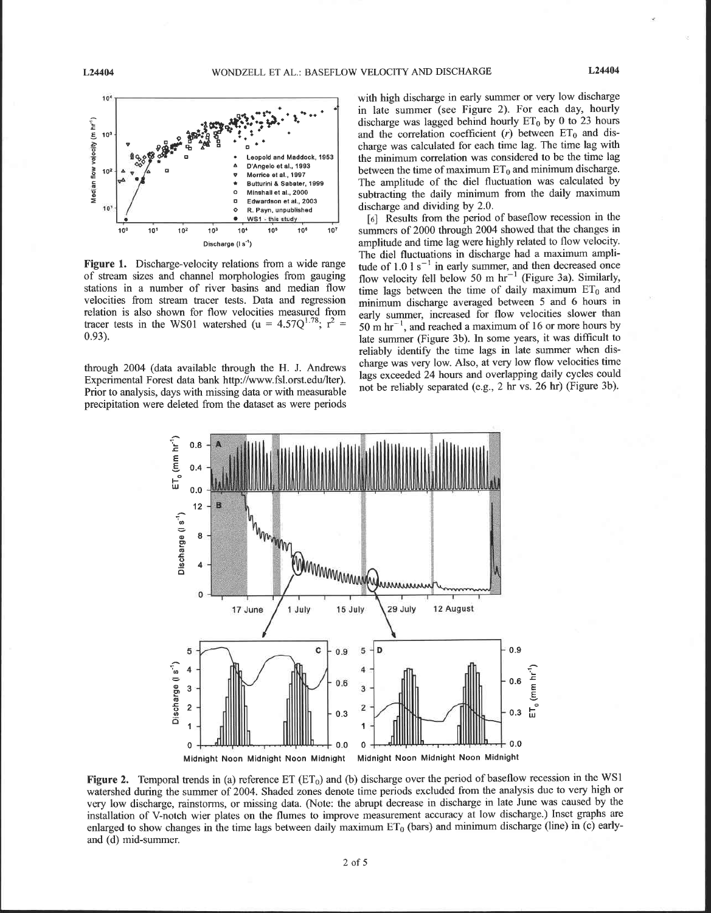

**Figure** 1. Discharge-velocity relations from a wide range of stream sizes and channel morphologies from gauging stations in a number of river basins and median flow velocities from stream tracer tests. Data and regression relation is also shown for flow velocities measured from tracer tests in the WS01 watershed (u =  $4.57Q^{1.78}$ ;  $r^2$  = 0.93).

through 2004 (data available through the H. J. Andrews Experimental Forest data bank http://www.fsl.orst.edu/lter). Prior to analysis, days with missing data or with measurable precipitation were deleted from the dataset as were periods

with high discharge in early summer or very low discharge in late summer (see Figure 2). For each day, hourly discharge was lagged behind hourly  $ET_0$  by 0 to 23 hours and the correlation coefficient  $(r)$  between  $ET_0$  and discharge was calculated for each time lag. The time lag with the minimum correlation was considered to be the time lag between the time of maximum  $ET_0$  and minimum discharge. The amplitude of the diel fluctuation was calculated by subtracting the daily minimum from the daily maximum discharge and dividing by 2.0.

[6] Results from the period of baseflow recession in the summers of 2000 through 2004 showed that the changes in amplitude and time lag were highly related to flow velocity. The diel fluctuations in discharge had a maximum amplitude of  $1.01 s<sup>-1</sup>$  in early summer, and then decreased once flow velocity fell below 50 m  $hr^{-1}$  (Figure 3a). Similarly, time lags between the time of daily maximum  $ET_0$  and minimum discharge averaged between 5 and 6 hours in early summer, increased for flow velocities slower than 50 m  $\text{hr}^{-1}$ , and reached a maximum of 16 or more hours by late summer (Figure 3b). In some years, it was difficult to reliably identify the time lags in late summer when discharge was very low. Also, at very low flow velocities time lags exceeded 24 hours and overlapping daily cycles could not be reliably separated (e.g., 2 hr vs. 26 hr) (Figure 3b).



**Figure 2.** Temporal trends in (a) reference ET (ET<sub>0</sub>) and (b) discharge over the period of baseflow recession in the WS1 watershed during the summer of 2004. Shaded zones denote time periods excluded from the analysis due to very high or very low discharge, rainstorms, or missing data. (Note: the abrupt decrease in discharge in late June was caused by the installation of V-notch wier plates on the flumes to improve measurement accuracy at low discharge.) Inset graphs are enlarged to show changes in the time lags between daily maximum  $ET_0$  (bars) and minimum discharge (line) in (c) earlyand (d) mid-summer.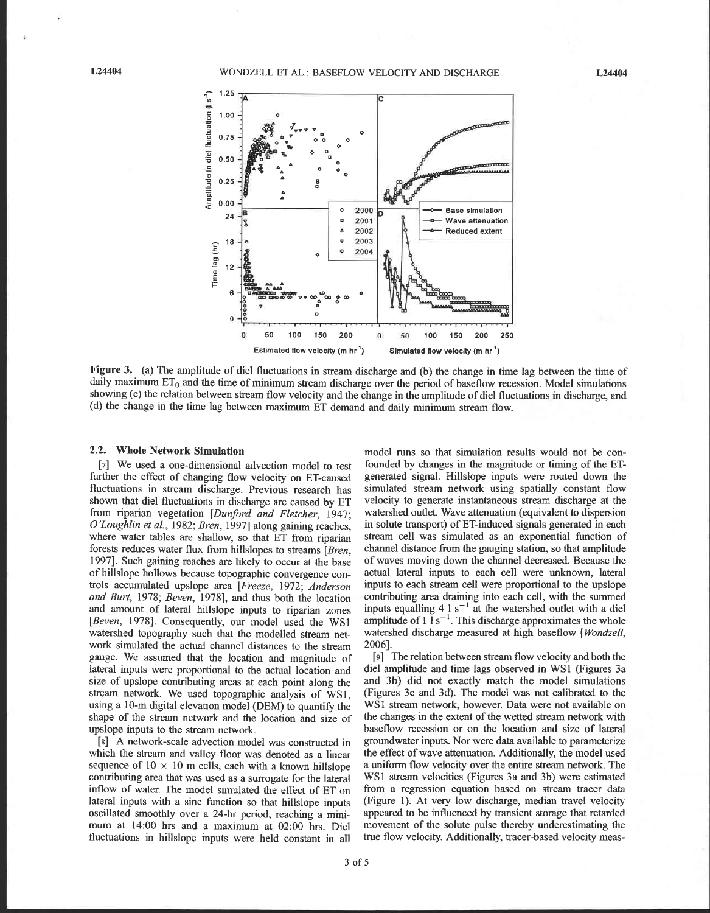L24404



**Figure 3.** (a) The amplitude of diel fluctuations in stream discharge and (b) the change in time lag between the time of daily maximum  $ET_0$  and the time of minimum stream discharge over the period of baseflow recession. Model simulations showing (c) the relation between stream flow velocity and the change in the amplitude of diel fluctuations in discharge, and (d) the change in the time lag between maximum ET demand and daily minimum stream flow.

### **2.2. Whole Network Simulation**

[7] We used a one-dimensional advection model to test further the effect of changing flow velocity on ET-caused fluctuations in stream discharge. Previous research has shown that diel fluctuations in discharge are caused by ET from riparian vegetation [Dunford and Fletcher, 1947; O'Loughlin et al., 1982; Bren, 1997] along gaining reaches, where water tables are shallow, so that ET from riparian forests reduces water flux from hillslopes to streams [Bren, 19971. Such gaining reaches are likely to occur at the base of hillslope hollows because topographic convergence controls accumulated upslope area [Freeze, 1972; Anderson and Burt, 1978; Beven, 1978], and thus both the location and amount of lateral hillslope inputs to riparian zones [Beven, 1978]. Consequently, our model used the WS1 watershed topography such that the modelled stream network simulated the actual channel distances to the stream gauge. We assumed that the location and magnitude of lateral inputs were proportional to the actual location and size of upslope contributing areas at each point along the stream network. We used topographic analysis of WSl, using a 10-m digital elevation model (DEM) to quantify the shape of the stream network and the location and size of upslope inputs to the stream network.

[s] A network-scale advection model was constructed in which the stream and valley floor was denoted as a linear sequence of  $10 \times 10$  m cells, each with a known hillslope contributing area that was used as a surrogate for the lateral inflow of water. The model simulated the effect of ET on lateral inputs with a sine function so that hillslope inputs oscillated smoothly over a 24-hr period, reaching a minimum at 14:OO hrs and a maximum at 02:OO hrs. Die1 fluctuations in hillslope inputs were held constant in all

model runs so that simulation results would not be confounded by changes in the magnitude or timing of the ETgenerated signal. Hillslope inputs were routed down the simulated stream network using spatially constant flow velocity to generate instantaneous stream discharge at the watershed outlet. Wave attenuation (equivalent to dispersion in solute transport) of ET-induced signals generated in each stream cell was simulated as an exponential function of channel distance from the gauging station, so that amplitude of waves moving down the channel decreased. Because the actual lateral inputs to each cell were unknown, lateral inputs to each stream cell were proportional to the upslope contributing area draining into each cell, with the summed inputs equalling  $4 \times 1$  s<sup>-1</sup> at the watershed outlet with a diel amplitude of 1  $1 \text{ s}^{-1}$ . This discharge approximates the whole watershed discharge measured at high baseflow [Wondzell, 20061.

**[9]** The relation between stream flow velocity and both the diel amplitude and time lags observed in WS1 (Figures 3a and 3b) did not exactly match the model simulations (Figures 3c and 3d). The model was not calibrated to the WSl stream network, however. Data were not available on the changes in the extent of the wetted stream network with baseflow recession or on the location and size of lateral groundwater inputs. Nor were data available to parameterize the effect of wave attenuation. Additionally, the model used a uniform flow velocity over the entire stream network. The WS1 stream velocities (Figures 3a and 3b) were estimated from a regression equation based on stream tracer data (Figure 1). At very low discharge, median travel velocity appeared to be influenced by transient storage that retarded movement of the solute pulse thereby underestimating the true flow velocity. Additionally, tracer-based velocity meas-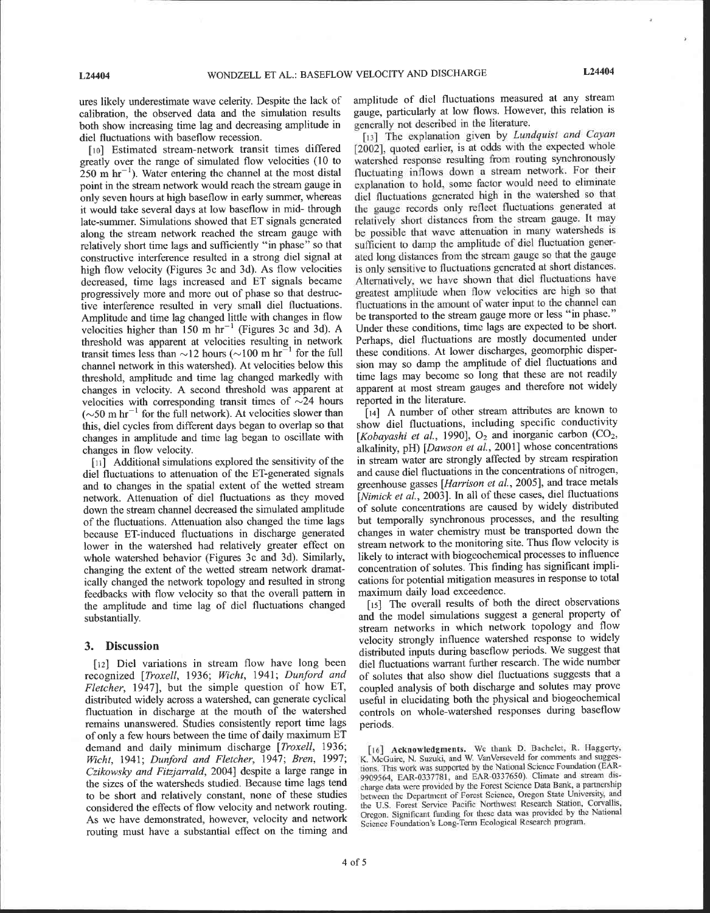ÿ

ures likely underestimate wave celerity. Despite the lack of calibration, the observed data and the simulation results both show increasing time lag and decreasing amplitude in diel fluctuations with baseflow recession.

[10] Estimated stream-network transit times differed greatly over the range of simulated flow velocities (10 to  $250$  m hr<sup>-1</sup>). Water entering the channel at the most distal point in the stream network would reach the stream gauge in only seven hours at high baseflow in early summer, whereas it would take several days at low baseflow in mid- through late-summer. Simulations showed that ET signals generated along the stream network reached the stream gauge with relatively short time lags and sufficiently "in phase" so that constructive interference resulted in a strong diel signal at high flow velocity (Figures 3c and 3d). As flow velocities decreased, time lags increased and ET signals became progressively more and more out of phase so that destructive interference resulted in very small diel fluctuations. Amplitude and time lag changed little with changes in flow velocities higher than 150 m hr<sup>-1</sup> (Figures 3c and 3d). A threshold was apparent at velocities resulting in network transit times less than  $\sim$ 12 hours ( $\sim$ 100 m hr<sup>-1</sup> for the full channel network in this watershed). At velocities below this threshold, amplitude and time lag changed markedly with changes in velocity. A second threshold was apparent at velocities with corresponding transit times of  $\sim$ 24 hours  $(\sim 50 \text{ m hr}^{-1}$  for the full network). At velocities slower than this, diel cycles from different days began to overlap so that changes in amplitude and time lag began to oscillate with changes in flow velocity.

 $[11]$  Additional simulations explored the sensitivity of the diel fluctuations to attenuation of the ET-generated signals and to changes in the spatial extent of the wetted stream network. Attenuation of diel fluctuations as they moved down the stream channel decreased the simulated amplitude of the fluctuations. Attenuation also changed the time lags because ET-induced fluctuations in discharge generated lower in the watershed had relatively greater effect on whole watershed behavior (Figures 3c and 3d). Similarly, changing the extent of the wetted stream network dramatically changed the network topology and resulted in strong feedbacks with flow velocity so that the overall pattern in the amplitude and time lag of diel fluctuations changed substantially.

### **3. Discussion**

[12] Diel variations in stream flow have long been recognized [Troxell, 1936; Wicht, 1941; Dunford and *Fletcher*, 1947], but the simple question of how ET, distributed widely across a watershed, can generate cyclical fluctuation in discharge at the mouth of the watershed remains unanswered. Studies consistently report time lags of only a few hours between the time of daily maximum ET demand and daily minimum discharge *[Troxell,* 1936; *Echt,* 1941; *Dunford and Fletcher,* 1947; *Bren,* 1997; *Czikowsky and Fitzjarrald,* 20041 despite a large range in the sizes of the watersheds studied. Because time lags tend to be short and relatively constant, none of these studies considered the effects of flow velocity and network routing. As we have demonstrated, however, velocity and network routing must have a substantial effect on the timing and

amplitude of diel fluctuations measured at any stream gauge, particularly at low flows. However, this relation is **generally** not described **in** the literahue.

**[I)]** The explanation given by **Lundguist** *and* **Cayan**  *[2002],* quoted earlier, **is** at odds with the expected whole watershed response resulting **from** routing synchronously **fluctuating** inflows **down** a stream **network.** For their **expIanation** to hold, some factor would need to eliminate **die1** fluctuations generated **high** in the watershed so that the gauge records only reflect fluctuations **generated** at relatively short distances from the stream **gauge.** it **may be** possible **that wave** attenuation in many watersheds is sufficient to damp the amplitude of diel fluctuation generated long distances from [he **stream** gauge *so* that the gauge is only sensitive to fluctuations generated at short distances. **Alternatively,** we **have** shown that diel fluctuations have greatest amplitude **when** flow velocities are high so that fluctuations in the amount of water input to the channel **can**  be transported to the stream gauge more or less "in phase." Under these conditions, time lags are expected to be short. Perhaps, diel fluctuations are mostly documented under these conditions. At lower discharges, geomorphic dispersion may so damp the amplitude of diel fluctuations and time lags may become so long that these are not readily apparent at most stream gauges and therefore not widely reported in the literature.

**[i4]** A number of other stream attributes are known to show diel fluctuations, including specific conductivity [ $Kobayashi$  et al., 1990],  $O_2$  and inorganic carbon  $(CO_2)$ , alkalinity, pH) *[Dawson et al.,* 20011 whose concentrations in stream water are strongly affected by stream respiration and cause diel fluctuations in the concentrations of nitrogen, greenhouse gasses [*Harrison et al.*, 2005], and trace metals [Nimick et al., 2003]. In all of these cases, diel fluctuations of solute concentrations are caused by widely distributed but temporally synchronous processes, and the resulting changes in water chemistry must be transported down the stream network to the monitoring site. Thus flow velocity is likely to interact with biogeochemical processes to influence concentration of solutes. This finding has significant implications for potential mitigation measures in response to total maximum daily load exceedence.

[15] The overall results of both the direct observations and the model simulations suggest a general property of stream networks in which network topology and flow velocity strongly influence watershed response to widely distributed inputs during baseflow periods. We suggest that diel fluctuations warrant further research. The wide number of solutes that also show diel fluctuations suggests that a coupled analysis of both discharge and solutes may prove useful in elucidating both the physical and biogeochemical controls on whole-watershed responses during baseflow periods.

<sup>[16]</sup> **Acknowledgments.** We thank D. Bachelet, R. Haggerty, K. McGuire, N. Suzuki, and W. VanVerseveld for comments and sugges**tions. This work was supported by the National** Sciencc **Foundation (EAR-**9909564, **EAR-0337781**, and **EAR-0337650**). Climate and stream dis**ch~rgc dam were provided** by **the Forcst Science Dam Rank, a partneship between the Department of Forest Science, Oregon State University, and** the U.S. Forest Service Pacific Northwest Research Station, Corvallis, **Oregon. Significant iimding for thesc data was provided** by *the* **National**  Science Foundation's Long-Term Ecological Research program.